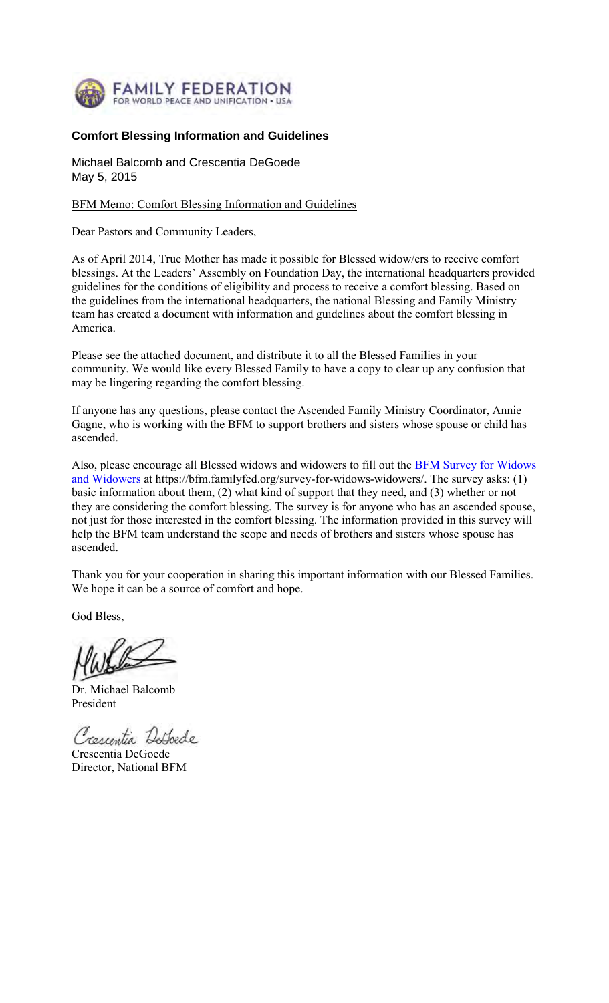

# **Comfort Blessing Information and Guidelines**

Michael Balcomb and Crescentia DeGoede May 5, 2015

## BFM Memo: Comfort Blessing Information and Guidelines

Dear Pastors and Community Leaders,

As of April 2014, True Mother has made it possible for Blessed widow/ers to receive comfort blessings. At the Leaders' Assembly on Foundation Day, the international headquarters provided guidelines for the conditions of eligibility and process to receive a comfort blessing. Based on the guidelines from the international headquarters, the national Blessing and Family Ministry team has created a document with information and guidelines about the comfort blessing in America.

Please see the attached document, and distribute it to all the Blessed Families in your community. We would like every Blessed Family to have a copy to clear up any confusion that may be lingering regarding the comfort blessing.

If anyone has any questions, please contact the Ascended Family Ministry Coordinator, Annie Gagne, who is working with the BFM to support brothers and sisters whose spouse or child has ascended.

Also, please encourage all Blessed widows and widowers to fill out the BFM Survey for Widows and Widowers at https://bfm.familyfed.org/survey-for-widows-widowers/. The survey asks: (1) basic information about them, (2) what kind of support that they need, and (3) whether or not they are considering the comfort blessing. The survey is for anyone who has an ascended spouse, not just for those interested in the comfort blessing. The information provided in this survey will help the BFM team understand the scope and needs of brothers and sisters whose spouse has ascended.

Thank you for your cooperation in sharing this important information with our Blessed Families. We hope it can be a source of comfort and hope.

God Bless,

Dr. Michael Balcomb President

Crescentia Detoede

Crescentia DeGoede Director, National BFM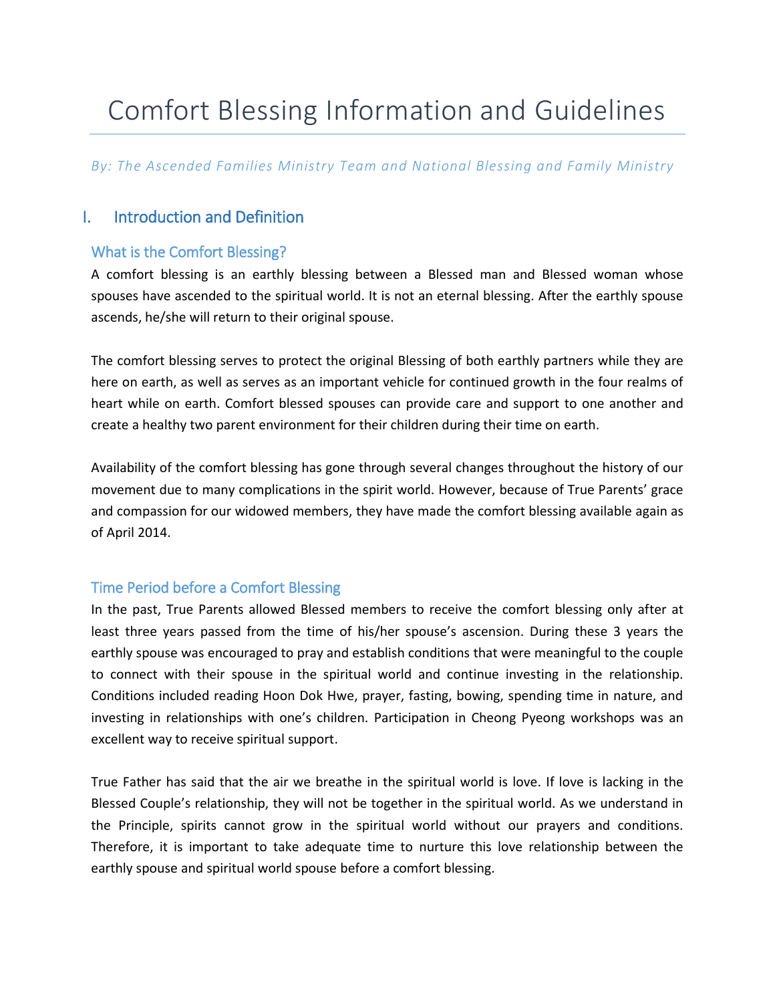# Comfort Blessing Information and Guidelines

*By: The Ascended Families Ministry Team and National Blessing and Family Ministry* 

# I. Introduction and Definition

# What is the Comfort Blessing?

A comfort blessing is an earthly blessing between a Blessed man and Blessed woman whose spouses have ascended to the spiritual world. It is not an eternal blessing. After the earthly spouse ascends, he/she will return to their original spouse.

The comfort blessing serves to protect the original Blessing of both earthly partners while they are here on earth, as well as serves as an important vehicle for continued growth in the four realms of heart while on earth. Comfort blessed spouses can provide care and support to one another and create a healthy two parent environment for their children during their time on earth.

Availability of the comfort blessing has gone through several changes throughout the history of our movement due to many complications in the spirit world. However, because of True Parents' grace and compassion for our widowed members, they have made the comfort blessing available again as of April 2014.

# Time Period before a Comfort Blessing

In the past, True Parents allowed Blessed members to receive the comfort blessing only after at least three years passed from the time of his/her spouse's ascension. During these 3 years the earthly spouse was encouraged to pray and establish conditions that were meaningful to the couple to connect with their spouse in the spiritual world and continue investing in the relationship. Conditions included reading Hoon Dok Hwe, prayer, fasting, bowing, spending time in nature, and investing in relationships with one's children. Participation in Cheong Pyeong workshops was an excellent way to receive spiritual support.

True Father has said that the air we breathe in the spiritual world is love. If love is lacking in the Blessed Couple's relationship, they will not be together in the spiritual world. As we understand in the Principle, spirits cannot grow in the spiritual world without our prayers and conditions. Therefore, it is important to take adequate time to nurture this love relationship between the earthly spouse and spiritual world spouse before a comfort blessing.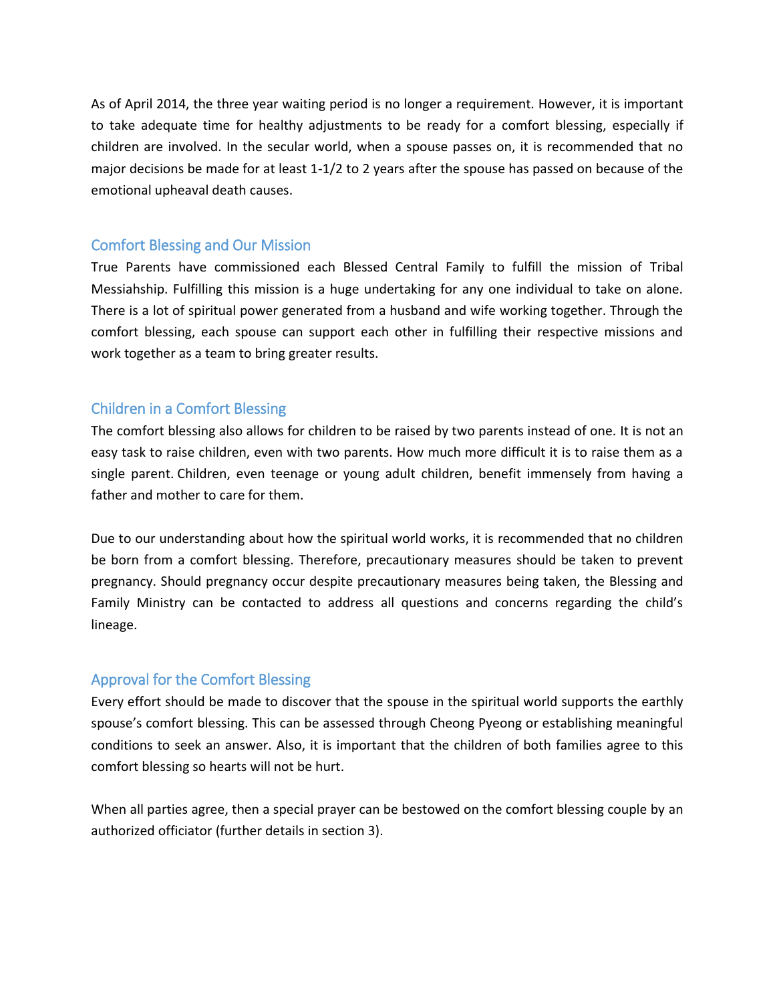As of April 2014, the three year waiting period is no longer a requirement. However, it is important to take adequate time for healthy adjustments to be ready for a comfort blessing, especially if children are involved. In the secular world, when a spouse passes on, it is recommended that no major decisions be made for at least 1-1/2 to 2 years after the spouse has passed on because of the emotional upheaval death causes.

#### Comfort Blessing and Our Mission

True Parents have commissioned each Blessed Central Family to fulfill the mission of Tribal Messiahship. Fulfilling this mission is a huge undertaking for any one individual to take on alone. There is a lot of spiritual power generated from a husband and wife working together. Through the comfort blessing, each spouse can support each other in fulfilling their respective missions and work together as a team to bring greater results.

## Children in a Comfort Blessing

The comfort blessing also allows for children to be raised by two parents instead of one. It is not an easy task to raise children, even with two parents. How much more difficult it is to raise them as a single parent. Children, even teenage or young adult children, benefit immensely from having a father and mother to care for them.

Due to our understanding about how the spiritual world works, it is recommended that no children be born from a comfort blessing. Therefore, precautionary measures should be taken to prevent pregnancy. Should pregnancy occur despite precautionary measures being taken, the Blessing and Family Ministry can be contacted to address all questions and concerns regarding the child's lineage.

## Approval for the Comfort Blessing

Every effort should be made to discover that the spouse in the spiritual world supports the earthly spouse's comfort blessing. This can be assessed through Cheong Pyeong or establishing meaningful conditions to seek an answer. Also, it is important that the children of both families agree to this comfort blessing so hearts will not be hurt.

When all parties agree, then a special prayer can be bestowed on the comfort blessing couple by an authorized officiator (further details in section 3).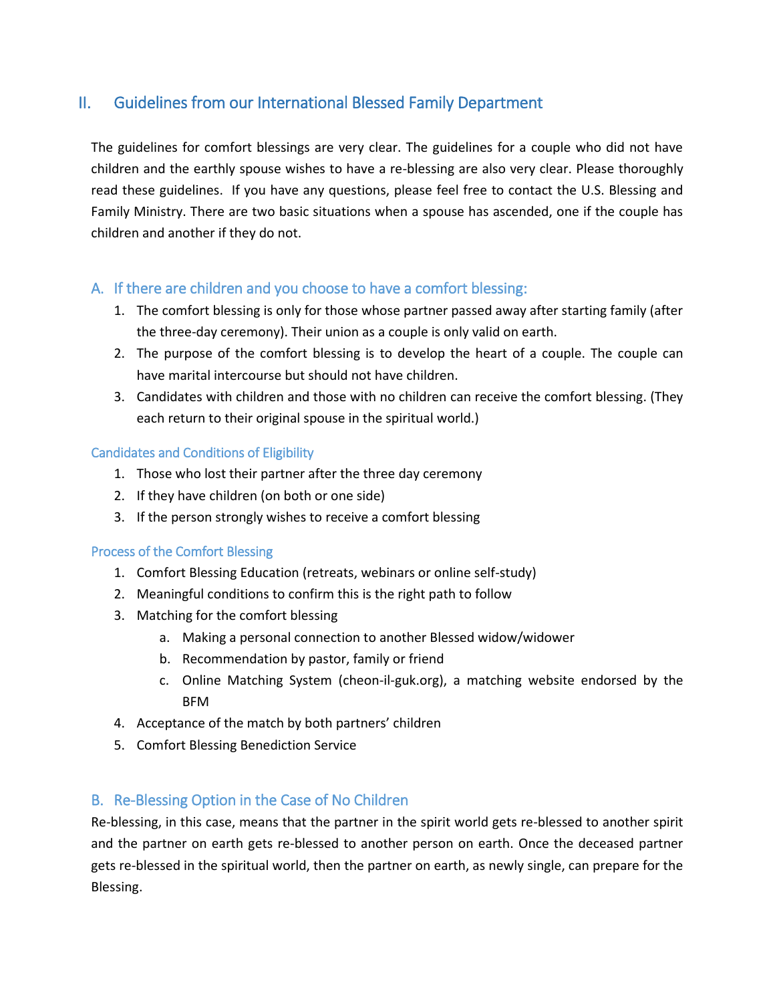# II. Guidelines from our International Blessed Family Department

The guidelines for comfort blessings are very clear. The guidelines for a couple who did not have children and the earthly spouse wishes to have a re-blessing are also very clear. Please thoroughly read these guidelines. If you have any questions, please feel free to contact the U.S. Blessing and Family Ministry. There are two basic situations when a spouse has ascended, one if the couple has children and another if they do not.

## A. If there are children and you choose to have a comfort blessing:

- 1. The comfort blessing is only for those whose partner passed away after starting family (after the three-day ceremony). Their union as a couple is only valid on earth.
- 2. The purpose of the comfort blessing is to develop the heart of a couple. The couple can have marital intercourse but should not have children.
- 3. Candidates with children and those with no children can receive the comfort blessing. (They each return to their original spouse in the spiritual world.)

#### Candidates and Conditions of Eligibility

- 1. Those who lost their partner after the three day ceremony
- 2. If they have children (on both or one side)
- 3. If the person strongly wishes to receive a comfort blessing

#### Process of the Comfort Blessing

- 1. Comfort Blessing Education (retreats, webinars or online self-study)
- 2. Meaningful conditions to confirm this is the right path to follow
- 3. Matching for the comfort blessing
	- a. Making a personal connection to another Blessed widow/widower
	- b. Recommendation by pastor, family or friend
	- c. Online Matching System (cheon-il-guk.org), a matching website endorsed by the BFM
- 4. Acceptance of the match by both partners' children
- 5. Comfort Blessing Benediction Service

# B. Re-Blessing Option in the Case of No Children

Re-blessing, in this case, means that the partner in the spirit world gets re-blessed to another spirit and the partner on earth gets re-blessed to another person on earth. Once the deceased partner gets re-blessed in the spiritual world, then the partner on earth, as newly single, can prepare for the Blessing.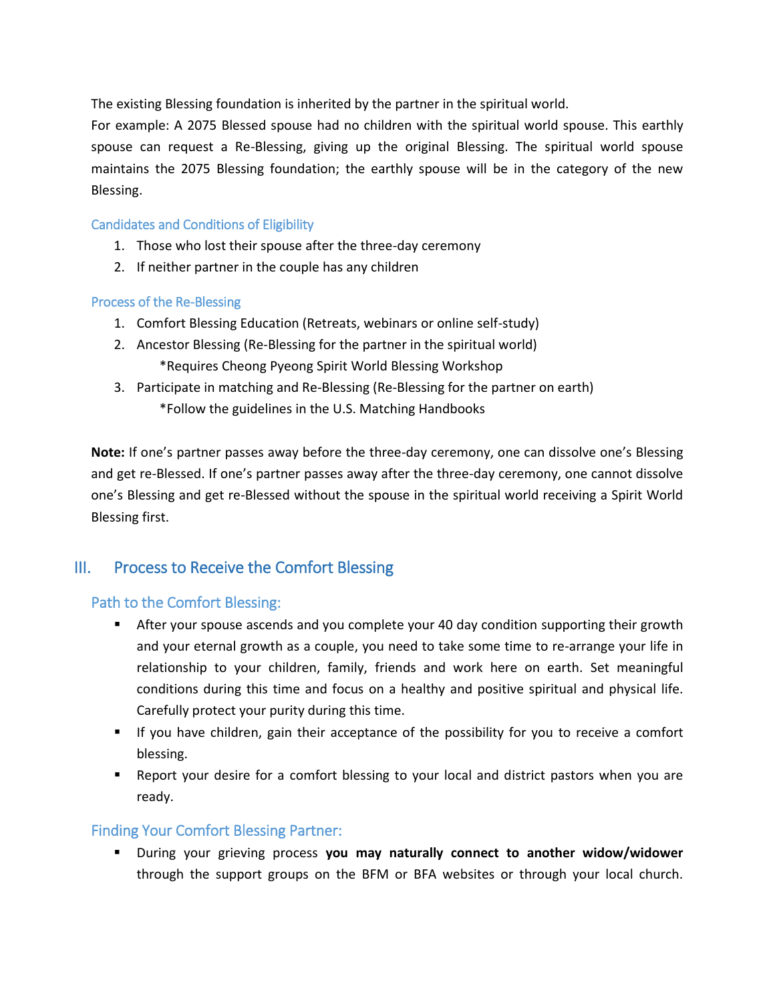The existing Blessing foundation is inherited by the partner in the spiritual world.

For example: A 2075 Blessed spouse had no children with the spiritual world spouse. This earthly spouse can request a Re-Blessing, giving up the original Blessing. The spiritual world spouse maintains the 2075 Blessing foundation; the earthly spouse will be in the category of the new Blessing.

#### Candidates and Conditions of Eligibility

- 1. Those who lost their spouse after the three-day ceremony
- 2. If neither partner in the couple has any children

#### Process of the Re-Blessing

- 1. Comfort Blessing Education (Retreats, webinars or online self-study)
- 2. Ancestor Blessing (Re-Blessing for the partner in the spiritual world) \*Requires Cheong Pyeong Spirit World Blessing Workshop
- 3. Participate in matching and Re-Blessing (Re-Blessing for the partner on earth) \*Follow the guidelines in the U.S. Matching Handbooks

**Note:** If one's partner passes away before the three-day ceremony, one can dissolve one's Blessing and get re-Blessed. If one's partner passes away after the three-day ceremony, one cannot dissolve one's Blessing and get re-Blessed without the spouse in the spiritual world receiving a Spirit World Blessing first.

# III. Process to Receive the Comfort Blessing

## Path to the Comfort Blessing:

- After your spouse ascends and you complete your 40 day condition supporting their growth and your eternal growth as a couple, you need to take some time to re-arrange your life in relationship to your children, family, friends and work here on earth. Set meaningful conditions during this time and focus on a healthy and positive spiritual and physical life. Carefully protect your purity during this time.
- If you have children, gain their acceptance of the possibility for you to receive a comfort blessing.
- Report your desire for a comfort blessing to your local and district pastors when you are ready.

## Finding Your Comfort Blessing Partner:

 During your grieving process **you may naturally connect to another widow/widower** through the support groups on the BFM or BFA websites or through your local church.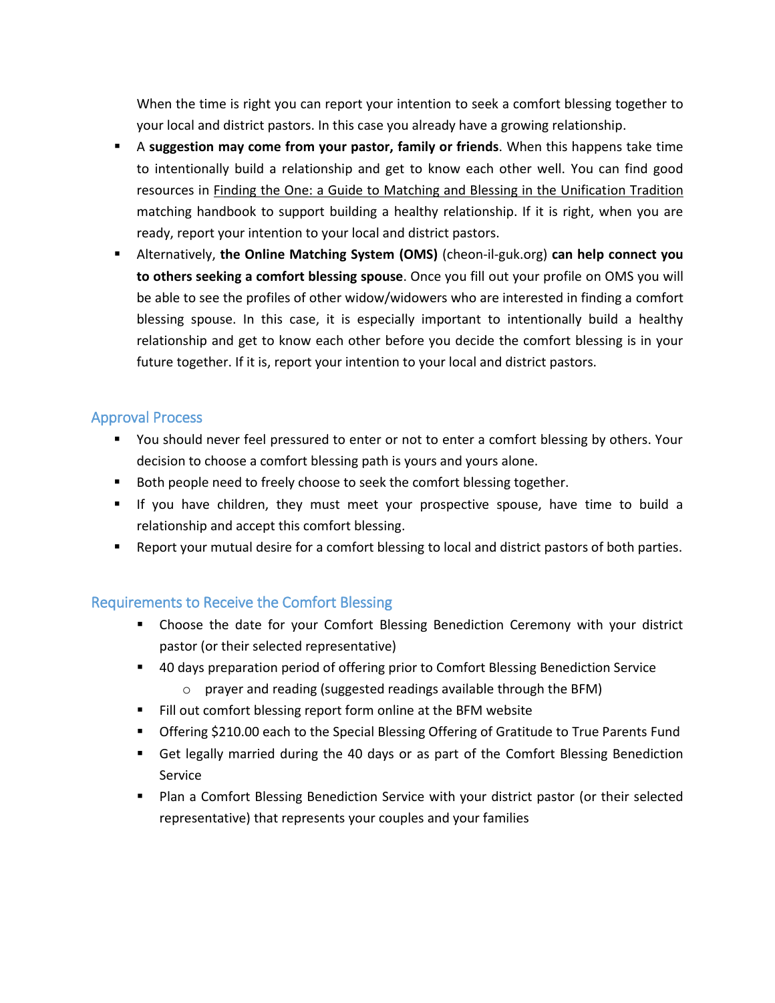When the time is right you can report your intention to seek a comfort blessing together to your local and district pastors. In this case you already have a growing relationship.

- A **suggestion may come from your pastor, family or friends**. When this happens take time to intentionally build a relationship and get to know each other well. You can find good resources in Finding the One: a Guide to Matching and Blessing in the Unification Tradition matching handbook to support building a healthy relationship. If it is right, when you are ready, report your intention to your local and district pastors.
- Alternatively, **the Online Matching System (OMS)** (cheon-il-guk.org) **can help connect you to others seeking a comfort blessing spouse**. Once you fill out your profile on OMS you will be able to see the profiles of other widow/widowers who are interested in finding a comfort blessing spouse. In this case, it is especially important to intentionally build a healthy relationship and get to know each other before you decide the comfort blessing is in your future together. If it is, report your intention to your local and district pastors.

#### Approval Process

- You should never feel pressured to enter or not to enter a comfort blessing by others. Your decision to choose a comfort blessing path is yours and yours alone.
- Both people need to freely choose to seek the comfort blessing together.
- If you have children, they must meet your prospective spouse, have time to build a relationship and accept this comfort blessing.
- **EXECT** Report your mutual desire for a comfort blessing to local and district pastors of both parties.

## Requirements to Receive the Comfort Blessing

- Choose the date for your Comfort Blessing Benediction Ceremony with your district pastor (or their selected representative)
- **40 days preparation period of offering prior to Comfort Blessing Benediction Service** 
	- o prayer and reading (suggested readings available through the BFM)
- Fill out comfort blessing report form online at the BFM website
- Offering \$210.00 each to the Special Blessing Offering of Gratitude to True Parents Fund
- Get legally married during the 40 days or as part of the Comfort Blessing Benediction Service
- **Plan a Comfort Blessing Benediction Service with your district pastor (or their selected** representative) that represents your couples and your families